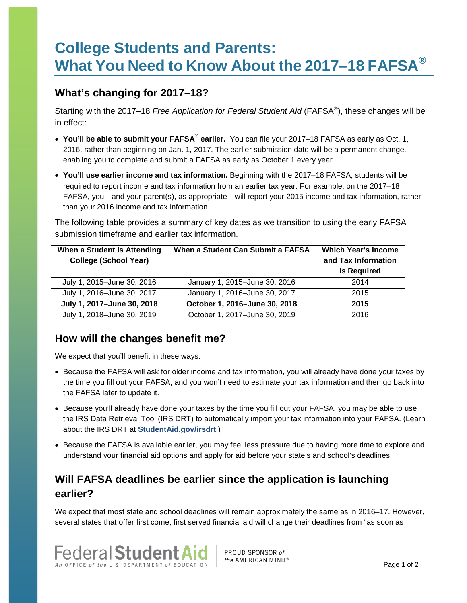# **College Students and Parents: What You Need to Know About the 2017–18 FAFSA®**

#### **What's changing for 2017–18?**

Starting with the 2017–18 *Free Application for Federal Student Aid* (FAFSA®), these changes will be in effect:

- **You'll be able to submit your FAFSA**® **earlier.** You can file your 2017–18 FAFSA as early as Oct. 1, 2016, rather than beginning on Jan. 1, 2017. The earlier submission date will be a permanent change, enabling you to complete and submit a FAFSA as early as October 1 every year.
- **You'll use earlier income and tax information.** Beginning with the 2017–18 FAFSA, students will be required to report income and tax information from an earlier tax year. For example, on the 2017–18 FAFSA, you—and your parent(s), as appropriate—will report your 2015 income and tax information, rather than your 2016 income and tax information.

The following table provides a summary of key dates as we transition to using the early FAFSA submission timeframe and earlier tax information.

| When a Student Is Attending  | When a Student Can Submit a FAFSA | <b>Which Year's Income</b> |
|------------------------------|-----------------------------------|----------------------------|
| <b>College (School Year)</b> |                                   | and Tax Information        |
|                              |                                   | <b>Is Required</b>         |
| July 1, 2015-June 30, 2016   | January 1, 2015-June 30, 2016     | 2014                       |
| July 1, 2016-June 30, 2017   | January 1, 2016-June 30, 2017     | 2015                       |
| July 1, 2017-June 30, 2018   | October 1, 2016-June 30, 2018     | 2015                       |
| July 1, 2018-June 30, 2019   | October 1, 2017-June 30, 2019     | 2016                       |

#### **How will the changes benefit me?**

We expect that you'll benefit in these ways:

- Because the FAFSA will ask for older income and tax information, you will already have done your taxes by the time you fill out your FAFSA, and you won't need to estimate your tax information and then go back into the FAFSA later to update it.
- Because you'll already have done your taxes by the time you fill out your FAFSA, you may be able to use the IRS Data Retrieval Tool (IRS DRT) to automatically import your tax information into your FAFSA. (Learn about the IRS DRT at **[StudentAid.gov/irsdrt](https://studentaid.ed.gov/sa/fafsa/filling-out#irs-drt)**.)
- Because the FAFSA is available earlier, you may feel less pressure due to having more time to explore and understand your financial aid options and apply for aid before your state's and school's deadlines.

## **Will FAFSA deadlines be earlier since the application is launching earlier?**

We expect that most state and school deadlines will remain approximately the same as in 2016–17. However, several states that offer first come, first served financial aid will change their deadlines from "as soon as



PROUD SPONSOR of the AMERICAN MIND<sup>®</sup>